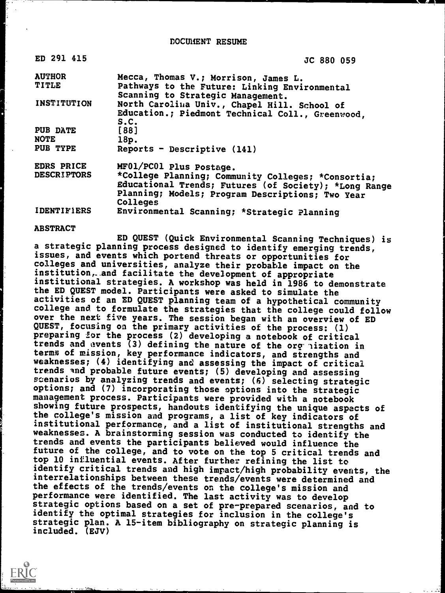DOCUMENT RESUME

| ED 291 415         | JC 880 059                                                                         |
|--------------------|------------------------------------------------------------------------------------|
| <b>AUTHOR</b>      | Mecca, Thomas V.; Morrison, James L.                                               |
| TITLE              | Pathways to the Future: Linking Environmental<br>Scanning to Strategic Management. |
| INSTITUTION        | North Carolina Univ., Chapel Hill. School of                                       |
|                    | Education.; Piedmont Technical Coll., Greenwood,<br>s.c.                           |
| PUB DATE           | $[88]$                                                                             |
| <b>NOTE</b>        | 18p.                                                                               |
| PUB TYPE           | Reports - Descriptive (141)                                                        |
| EDRS PRICE         | MF01/PC01 Plus Postage.                                                            |
| <b>DESCRIPTORS</b> | *College Planning; Community Colleges; *Consortia;                                 |
|                    | Educational Trends; Futures (of Society); *Long Range                              |
|                    | Planning; Models; Program Descriptions; Two Year                                   |
|                    | Colleges                                                                           |
| <b>IDENTIFIERS</b> | Environmental Scanning; *Strategic Planning                                        |

#### ABSTRACT

ED QUEST (Quick Environmental Scanning Techniques) is a strategic planning process designed to identify emerging trends, issues, and events which portend threats or opportunities for colleges and universities, analyze their probable impact on the institution, and facilitate the development of appropriate institutional strategies. A workshop was held in 1986 to demonstrate the ED QUEST model. Participants were asked to simulate the activities of an ED QUEST planning team of a hypothetical community college and to formulate the strategies that the college could follow over the next five years. The session began with an overview of ED QUEST, focusing on the primary activities of the process: (1) preparing for the process (2) developing a notebook of critical trends and events (3) defining the nature of the org.ization in terms of mission, key performance indicators, and strengths and weaknesses; (4) identifying and assessing the impact of critical trends and probable future events; (5) developing and assessing scenarios by analyzing trends and events;  $(6)$  selecting strategic options; and (7) incorporating those options into the strategic management process. Participants were provided with a notebook showing future prospects, handouts identifying the unique aspects of the college's mission and programs, a list of key indicators of institutional performance, and a list of institutional strengths and weaknesses. A brainstorming session was conducted to identify the trends and events the participants believed would influence the future of the college, and to vote on the top 5 critical trends and top 10 influential events. After further refining the list to identify critical trends and high impact/high probability events, the interrelationships between these trends/events were determined and the effects of the trends/events on the college's mission and performance were identified. The last activity was to develop strategic options based on a set of pre-prepared scenarios, and to identify the optimal strategies for inclusion in the college's strategic plan. A 15-item bibliography on strategic planning is included. (EJV)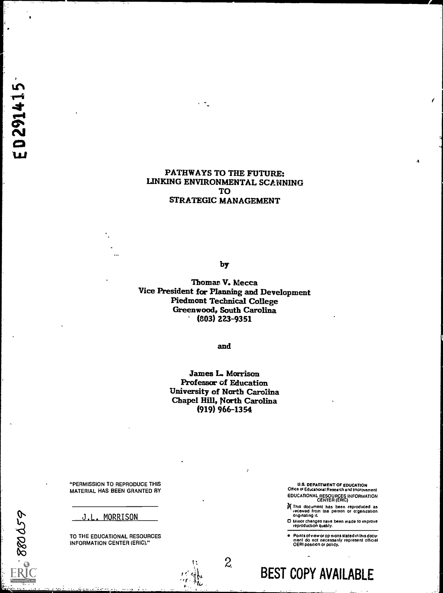**ED291415** 

 $-500025$ 

#### PATHWAYS TO THE FUTURE: LINKING ENVIRONMENTAL SCANNING TO STRATEGIC MANAGEMENT

by

Thomas V. Mecca Vice President for Planning and Development Piedmont Technical College Greenwood, South Carolina  $(803)$  223-9351

and

James L. Morrison Professor of Education University of North Carolina Chapel Hill, North Carolina (919) 966-1354

2,

"PERMISSION TO REPRODUCE THIS MATERIAL HAS BEEN GRANTED BY

J.L. MORRISON

TO THE EDUCATIONAL RESOURCES INFORMATION CENTER (ERIC)."

U.S. DEPARTMENT OF EDUCATION Office a Educationat Research and Improvement EDUCATIONAL RESOURCES INFORMATION CENTER (ERIC) 4

II This document has been reproduced as received from tee person or ofganization originating It.

O Minor changes nave been made to improve reproduction quality.

Points of view or op nions stated in this document do inot inecessarily represent official<br>OERI position or policy,

BEST COPY AVAILABLE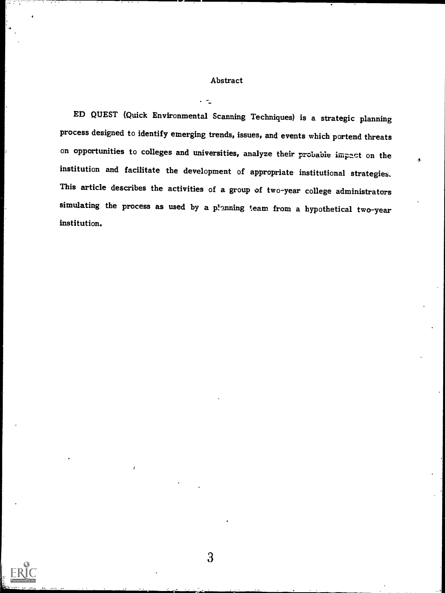#### Abstract

 $\cdot$   $\sim$ 

ED QUEST (Quick Environmental Scanning Techniques) is a strategic planning process designed to identify emerging trends, issues, and events which portend threats on opportunities to colleges and universities, analyze their probable impact on the institution and facilitate the development of appropriate institutional strategies. This article describes the activities of a group of two-year college administrators simulating the process as used by a p!anning team from a hypothetical two-year institution.

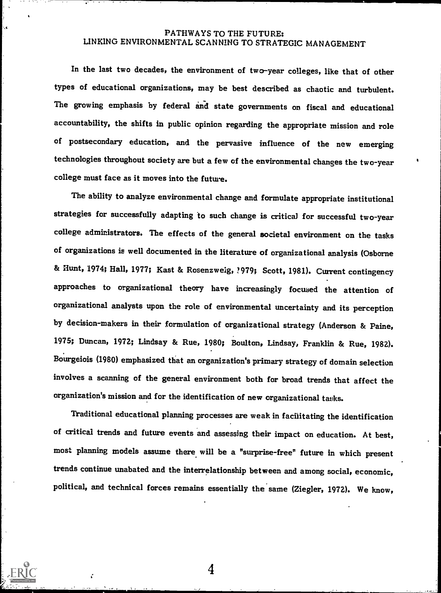### PATHWAYS TO THE FUTURE: LINKING ENVIRONMENTAL SCANNING TO STRATEGIC MANAGEMENT

In the last two decades, the environment of two-year colleges, like that of other types of educational organizations, may be best described as chaotic and turbulent. The growing emphasis by federal and state governments on fiscal and educational accountability, the shifts in public opinion regarding the appropriate mission and role of postsecondary education, and the pervasive influence of the new emerging technologies throughout society are but a few of the environmental changes the two-year college must face as it moves into the future.

The ability to analyze environmental change and formulate appropriate institutional strategies for successfully adapting to such change is critical for successful two-year college administrators. The effects of the general societal environment on the tasks of organizations is well documented in the literature of organizational analysis (Osborne & Hunt, 1974; Hall, 1977; Kast & Rosenzweig, ?979; Scott, 1981). Current contingency approaches to organizational theory have increasingly focused the attention of organizational analysts upon the role of environmental uncertainty and its perception by decision-makers in their formulation of organizational strategy (Anderson & Paine, 1975; Duncan, 1972; Lindsay & Rue, 1980; Boulton, Lindsay, Franklin & Rue, 1982). Bourgeiois (1980) emphasized that an organization's primary strategy of domain selection involves a scanning of the general environment both for broad trends that affect the organization's mission and for the identification of new organizational tasks.

Traditional educational planning processes are weak in facilitating the identification of critical trends and future events and assessing their impact on education. At best, most planning models assume there will be a "surprise-free" future in which present trends continue unabated and the interrelationship between and among social, economic, political, and technical forces remains essentially the same (Ziegler, 1972). We know,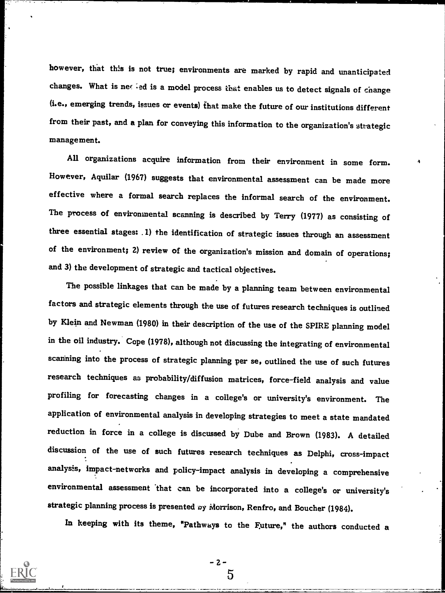however, that this is not true; environments are marked by rapid and unanticipated changes. What is net ied is a model process that enables us to detect signals of change (i.e., emerging trends, issues or events) that make the future of our institutions different from their past, and a plan for conveying this information to the organization's strategic management.

All organizations acquire information from their environment in some form. However, Aguilar (1967) suggests that environmental assessment can be made more effective where a formal search replaces the informal search of the environment. The process of environmental scanning is described by Terry (1977) as consisting of three essential stages: .1) the identification of strategic issues through an assessment of the environment; 2) review of the organization's mission and domain of operations; and 3) the development of strategic and tactical objectives.

The possible linkages that can be made by a planning team between environmental factors and strategic elements through the use of futures research techniques is outlined by Klein and Newman (1980) in their description of the use of the SPIRE planning model in the oil industry. Cope (1978), although not discussing the integrating of environmental scanning into the process of strategic planning per se, outlined the use of such futures research techniques as probability/diffusion matrices, force-field analysis and value profiling for forecasting changes in a college's or university's environment. The application of environmental analysis in developing strategies to meet a state mandated reduction in force in a college is discussed by Dube and Brown (1983). A detailed discussion of the use of such futures research techniques as Delphi, cross-impact analysis, impact-networks and policy-impact analysis in developing a comprehensive environmental assessment that can be incorporated into a college's or university's strategic planning process is presented by Morrison, Renfro, and Boucher (1984).

In keeping with its theme, 'Pathways to the Future," the authors conducted a

- 2 -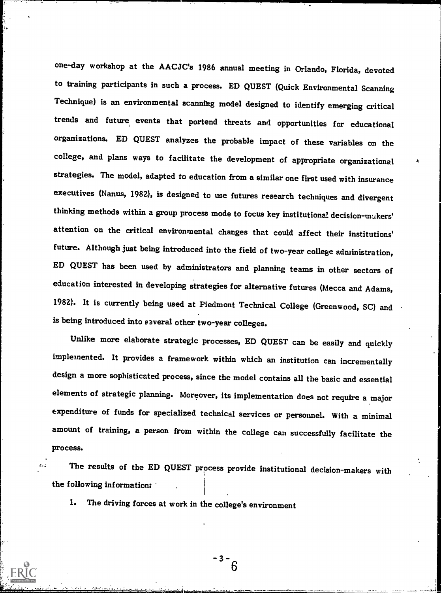one-day workshop at the AACJC's 1986 annual meeting in Orlando, Florida, devoted to training participants in such a process. ED QUEST (Quick Environmental Scanning Technique) is an environmental scanning model designed to identify emerging critical trends and future, events that portend threats and opportunities for educational organizations. ED QUEST analyzes the probable impact of these variables on the college, and plans ways to facilitate the development of appropriate organizational strategies. The model, adapted to education from a similar one first used with insurance executives (Nanus, 1982), is designed to use futures research techniques and divergent thinking methods within a group process mode to focus key institutional decision-makers' attention on the critical environmental changes that could affect their institutions' future. Although just being introduced into the field of two-year college administration, ED QUEST has been used by administrators and planning teams in other sectors of education interested in developing strategies for alternative futures (Mecca and Adams, 1982). It is currently being used at Piedmont Technical College (Greenwood, SC) and is being introduced into several other two-year colleges.

Unlike more elaborate strategic processes, ED QUEST can be easily and quickly implemented. It provides a framework within which an institution can incrementally design a more sophisticated process, since the model contains all the basic and essential elements of strategic planning. Moreover, its implementation does not require a major expenditure of funds for specialized technical services or personnel. With a minimal amount of training, a person from within the college can successfully facilitate the process.

The results of the ED QUEST process provide institutional decision-makers with the following information:

1. The driving forces at work in the college's environment

 $3 - 3$ 6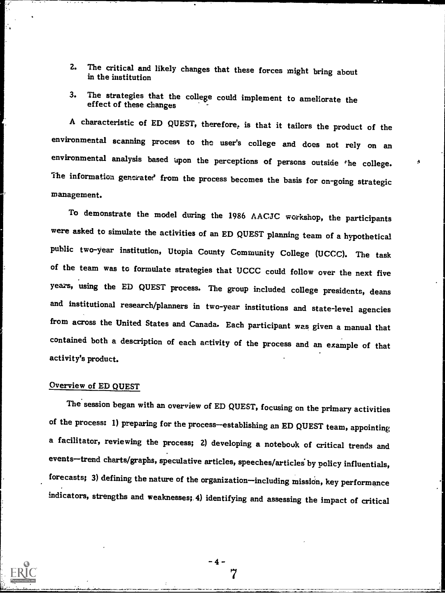- 2. The critical and likely changes that these forces might bring about in the institution
- 3. The strategies that the college could implement to ameliorate the effect of these changes

A characteristic of ED QUEST, therefore, is that it tailors the product of the environmental scanning process to the user's college and does not rely on an environmental analysis based upon the perceptions of persons outside the college. The information generated from the process becomes the basis for on-going strategic management.

To demonstrate the model during the 1986 AACJC workshop, the participants were asked to simulate the activities of an ED QUEST planning team of a hypothetical public two-year institution, Utopia County Community College (UCCC). The task of the team was to formulate strategies that UCCC could follow over the next five years, using the ED QUEST process. The group included college presidents, deans and institutional research/planners in two-year institutions and state-level agencies from across the United States and Canada. Each participant was given a manual that contained both a description of each activity of the process and an example of that activity's product.

## Overview of ED QUEST

The session began with an overview of ED QUEST, focusing on the primary activities of the process: 1) preparing for the process-establishing an ED QUEST team, appointing a facilitator, reviewing the process; 2) developing a notebouk of critical trends and events--trend charts/graphs, speculative articles, speeches/articles by policy influentials, forecasts; 3) defining the nature of the organization-including mission, key performance indicators, strengths and weaknesses; 4) identifying and assessing the impact of critical

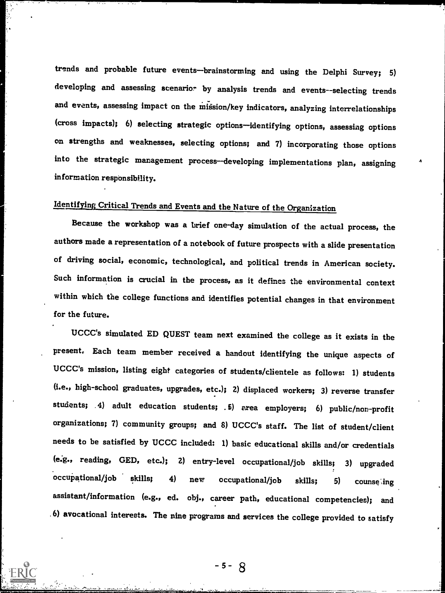trends and probable future events-brainstorming and using the Delphi Survey; 5) developing and assessing scenario? by analysis trends and events--selecting trends and events, assessing impact on the mission/key indicators, analyzing interrelationships (cross impacts); 6) selecting strategic options-identifying options, assessing options on strengths and weaknesses, selecting options; and 7) incorporating those options into the strategic management process-developing implementations plan, assigning information responsibility.

# Identifying Critical Trends and Events and the Nature of the Organization

Because the workshop was a brief one-day simulation of the actual process, the authors made a representation of a notebook of future prospects with a slide presentation of driving social, economic, technological, and political trends in American society. Such information is crucial in the process, as it defines the environmental context within which the college functions and identifies potential changes in that environment for the future.

UCCC's simulated ED QUEST team next examined the college as it exists in the present. Each team member received a handout identifying the unique aspects of UCCC's mission, listing eight categories of students/clientele as follows: 1) students (i.e., high-school graduates, upgrades, etc.); 2) displaced workers; 3) reverse transfer students; .4) adult education students; .5) area employers; 6) public/non-profit organizations; 7) community groups; and 8) UCCC's staff. The list of student/client needs to be satisfied by UCCC included: 1) basic educational skills and/or credentials (e.g., reading, GED, etc.); 2) entry-level occupational/job skills; 3) upgraded occupational/job skills; 4) new occupational/job skills; 5) counse ing assistant/information (e.g., ed. obj., career path, educational competencies); and 6) avocational interests. The nine programs and services the college provided to satisfy

 $-5 - 8$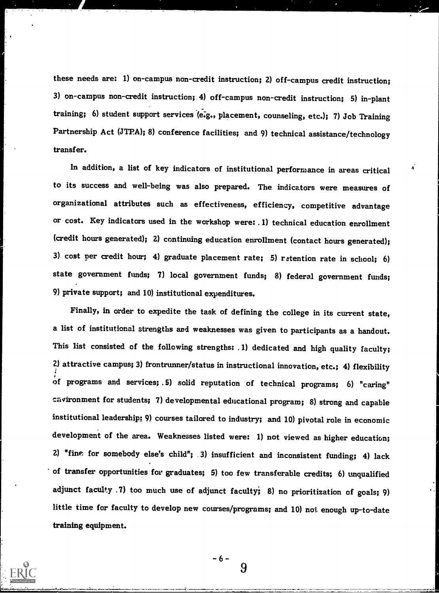these needs are: 1) on-campus non-credit instruction; 2) off-campus credit instruction; 3) on-campus non-credit instruction; 4) off-campus non-credit instruction; 5) in-plant training; 6) student support services (e.g., placement, counseling, etc.); 7) Job Training Partnership Act (JTPA); 8) conference facilities; and 9) technical assistance/technology transfer.

In addition, a list of key indicators of institutional performance in areas critical to its success and well-being was also prepared. The indicators were measures of organizational attributes such as effectiveness, efficiency, competitive advantage or cost. Key indicators used in the workshop were: .1) technical education enrollment (credit hours generated); 2) continuing education enrollment (contact hours generated); 3) cost per credit hour; 4) graduate placement rate; 5) retention rate in school; 6) state government funds; 7) local government funds; 8) federal government funds; 9) private support; and 10) institutional expenditures.

Finally, in order to expedite the task of defining the college in its current state, a list of institutional strengths and weaknesses was given to participants as a handout. This list consisted of the following strengths: .1) dedicated and high quality faculty; 2) attractive campus; 3) frontrunner/status in instructional innovation, etc.; 4) flexibility of programs and services; .5) solid reputation of technical programs; 6) "caring" environment for students; 7) developmental educational program; 8) strong and capable institutional leadership; 9) courses tailored to industry; and 10) pivotal role in economic development of the area. Weaknesses listed were: 1) not viewed as higher education; 2) "fine for somebody else's child"; .3) insufficient and inconsistent funding; 4) lack of transfer opportunities for graduates; 5) too few transferable credits; 6) unqualified adjunct faculty .7) too much use of adjunct faculty; 8) no prioritization of goals; 9) little time for faculty to develop new courses/programs; and 10) not enough up-to-date training equipment.

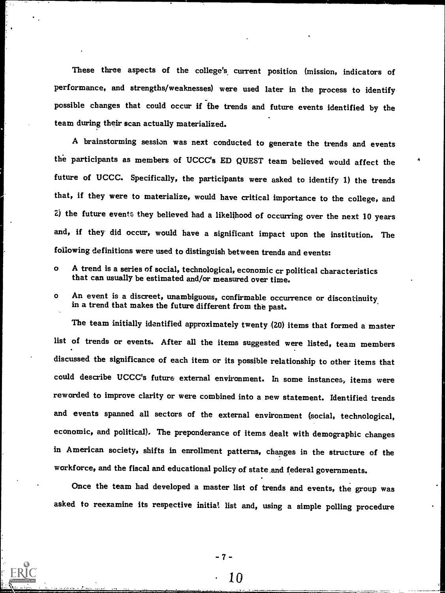These three aspects of the college's, current position (mission, indicators of performance, and strengths/weaknesses) were used later in the process to identify possible changes that could occur if the trends and future events identified by the team during their scan actually materialized.

A brainstorming session was next conducted to generate the trends and events the participants as members of UCCC's ED QUEST team believed would affect the future of UCCC. Specifically, the participants were asked to identify 1) the trends that, if they were to materialize, would have critical importance to the college, and  $2)$  the future events they believed had a likelihood of occurring over the next 10 years and, if they' did occur, would have a significant impact upon the institution. The following definitions were used to distinguish between trends and events:

A

o A trend is a series of social, technological, economic cr political characteristics that can usually be estimated and/or measured over time.

1919 - Paul Barnett

o An event is a discreet, unambiguous, confirmable occurrence or discontinuity in a trend that makes the future different from the past.

The team initially identified approximately twenty (20) items that formed a master list of trends or events. After all the items suggested were listed, team members discussed the significance of each item or its possible relationship to other items that could describe UCCC's future external environment. In some instances, items were reworded to improve clarity or were combined into a new statement. Identified trends and events spanned all sectors of the external environment (social, technological, economic, and political). The preponderance of items dealt with demographic changes in American society, shifts in enrollment patterns, changes in the structure of the workforce, and the fiscal and educational policy of state.and federal governments.

Once the team had developed a master list of trends and events, the group was asked to reexamine its respective initial list and, using a simple polling procedure

-7-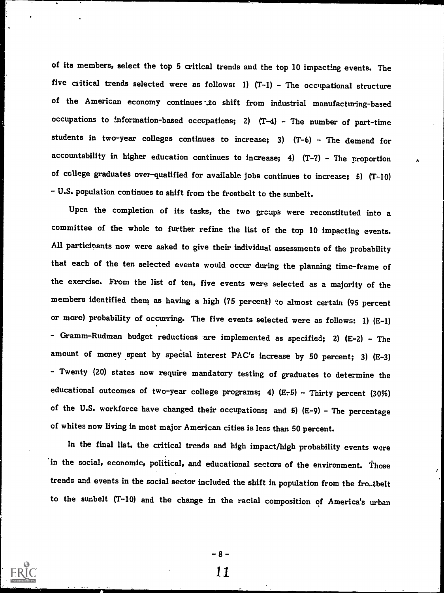of its members, select the top 5 critical trends and the top 10 impacting events. The five critical trends selected were as follows: 1)  $(T-1)$  - The occupational structure of the American economy continues to shift from industrial manufacturing-based occupations to information-based occupations; 2) (T-4) - The number of part-time students in two-year colleges continues to increase; 3)  $(T-6)$   $\cdot$  The demand for accountability in higher education continues to increase; 4)  $(T-7)$  - The proportion of college graduates over-qualified for available jobs continues to increase; 5) (T-10) - U.S. population continues to shift from the frostbelt to the sunbelt.

Upon the completion of its tasks, the two groups were reconstituted into a committee of the whole to further refine the list of the top 10 impacting events. All participants now were asked to give their individual assessments of the probability that each of the ten selected events would occur during the planning time-frame of the exercise. From the list of ten, five events were selected as a majority of the members identified them as having a high (75 percent) to almost certain (95 percent or more) probability of occurring. The five events selected were as follows: 1) (E-1) - Gramm-Rudman budget reductions are implemented as specified; 2) (E-2) - The amount of money spent by special interest PAC's increase by 50 percent; 3)  $(E-3)$ - Twenty (20) states now require mandatory testing of graduates to determine the educational outcomes of two-year college programs; 4)  $(E-5)$  - Thirty percent (30%) of the U.S. workforce have changed their occupations; and 5)  $(E-9)$  - The percentage of whites now living in most major American cities is less than 50 percent.

In the final list, the critical trends and high impact/high probability events were 'in the social, economic, political, and educational sectors of the environment. Those trends and events in the social sector included the shift in population from the fro.tbelt to the sunbelt (T-10) and the change in the racial composition of America's urban

-8-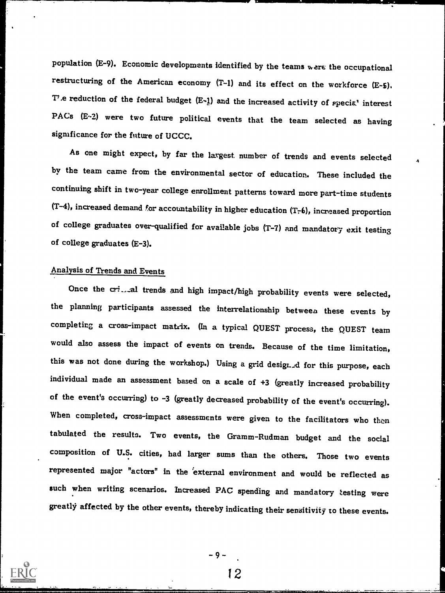population (E-9). Economic developments identified by the teams were the occupational restructuring of the American economy (T-1) and its effect on the workforce (E-5). T', e reduction of the federal budget  $(E-1)$  and the increased activity of special interest PACs (E-2) were two future political events that the team selected as having significance for the future of UCCC.

As one might expect, by far the largest number of trends and events selected by the team came from the environmental sector of education. These included the continuing shift in two-year college enrollment patterns toward more part-time students (T-4), increased demand for accountability in higher education (T-6), increased proportion of college graduates over-qualified for available jobs (T-7) and mandatory exit testing of college graduates (E-3).

## Analysis of Trends and Events

Once the cri...al trends and high impact/high probability events were selected, the planning participants assessed the interrelationship between these events by completing a cross-impact matrix. (In a typical QUEST process, the QUEST team would also assess the impact of events on trends. Because of the time limitation, this was not done during the workshop.) Using a grid designed for this purpose, each individual made an assessment based on a scale of +3 (greatly increased probability of the event's occurring) to -3 (greatly decreased probability of the event's occurring). When completed, cross-impact assessments were given to the facilitators who then tabulated the results. Two events, the Gramm-Rudman budget and the social composition of U.S. cities, had larger sums than the others. Those two events represented major "actors" in the external environment and would be reflected as such when writing scenarios. Increased PAC spending and mandatory testing were greatly affected by the other events, thereby indicating their sensitivity to these events.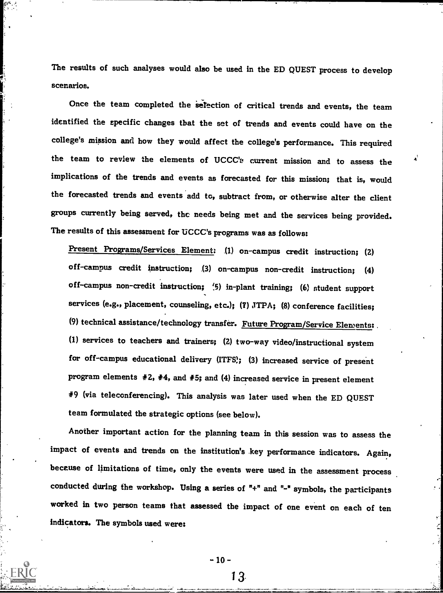The results of such analyses would also be used in the ED QUEST process to develop scenarios.

Once the team completed the selection of critical trends and events, the team identified the specific changes that the set of trends and events could have on the college's mission and how they would affect the college's performance. This required the team to review the elements of UCCC'e current mission and to assess the implications of the trends and events as forecasted for this mission; that is, would the forecasted trends and events add to, subtract from, or otherwise alter the client groups currently being served, the needs being met and the services being provided. The results of this assessment for UCCC's programs was as follows:

Present Programs/Services Element: .(1) on-campus credit instruction; (2) off-campus credit instruction; .(3) on-campus non-credit instruction; (4) off-campus non-credit instruction; 1.5) in-plant training; (6) student support services (e.g., placement, counseling, etc.); (7) JTPA; (8) conference facilities; (9) technical assistance/technology transfer. Future Program/Service Elements: (1) services to teachers and trainers; (2) two-way video/instructional system for off-campus educational delivery (ITFS); (3) increased service of present program elements #2, #4, and #5; and (4) increased service in present element #9 (via teleconferencing). This analysis was later used when the ED QUEST team formulated the strategic options (see below).

Another important action for the planning team in this session was to assess the impact of events and trends on the institution's key performance indicators. Again, because of limitations of time, only the events were used in the assessment process conducted during the workshop. Using a series of "+" and "-" symbols, the participants worked in two person teams that assessed the impact of one event on each of ten indicators. The symbols used were:

 $-10-$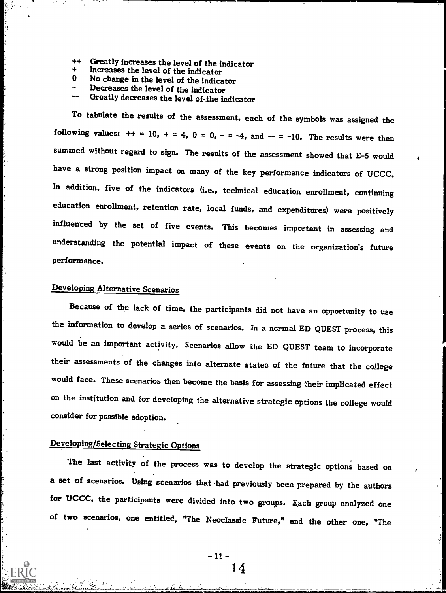- Greatly increases the level of the indicator  $++$
- Increases the level of the indicator
- O. No change in the level of the indicator
- Decreases the level of the indicator
- Greatly decreases the level of-the indicator

To tabulate the results of the assessment, each of the symbols was assigned the following values:  $++ = 10$ ,  $+ = 4$ ,  $0 = 0$ ,  $- = -4$ , and  $- = -10$ . The results were then summed without regard to sign. The results of the assessment showed that E-5 would have a strong position impact on many of the key performance indicators of UCCC. In addition, five of the indicators (i.e., technical education enrollment, continuing education enrollment, retention rate, local funds, and expenditures) were positively influenced by the set of five events. This becomes important in assessing and understanding the potential impact of these events on the organization's future performance.

## Developing Alternative Scenarios

Because of the lack of time, the participants did not have an opportunity to use the information to develop a series of scenarios. In a normal ED QUEST process, this would be an important activity. scenarios allow the ED QUEST team to incorporate their assessments of the changes into alternate states of the future that the college would face. These scenarios then become the basis for assessing their implicated effect on the institution and for developing the alternative strategic options the college would consider for possible adoption.

## Developing/Selecting Strategic Options

The last activity of the process was to develop the strategic options based on a set of scenarios. Using scenarios that had previously been prepared by the authors for UCCC, the participants were divided into two groups. Each group analyzed one of two scenarios, one entitled, "The Neoclassic Future," and the other one, "The

> - 11 -14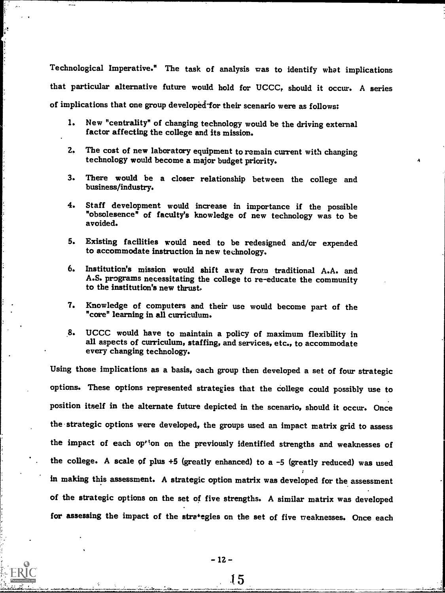Technological Imperative." The task of analysis was to identify what implications that particular alternative future would hold for UCCC, should it occur. A series of implications that one group developed-for their scenario were as follows:

- I. New "centrality" of changing technology would be the driving external factor affecting the college and its mission.
- 2. The cost of new laboratory equipment to remain current with changing technology would become a major budget priority.
- 3. There would be a closer relationship between the college and business/industry.
- 4. Staff development would increase in importance if the possible "obsolesence" of faculty's knowledge of new technology was to be avoided.
- 5. Existing facilities would need to be redesigned and/or expended to accommodate instruction in new technology.
- 6. Institution's mission would shift away from traditional A.A. and A.S. programs necessitating the college to re-educate the community to the institution's new thrust,
- 7. Knowledge of computers and their use would become part of the "core" learning in all curriculum.
- 8. UCCC would have to maintain a policy of maximum flexibility in all aspects of curriculum, staffing, and services, etc., to accommodate every changing technology.

Using those implications as a basis, each group then developed a set of four strategic options. These options represented strategies that the college could possibly use to position itself in the alternate future depicted in the scenario, should it occur. Once the strategic options were developed, the groups used an impact matrix grid to assess the impact of each op<sup>tion</sup> on the previously identified strengths and weaknesses of the college. A scale of plus +5 (greatly enhanced) to a -5 (greatly reduced) was used in making this assessment. A strategic option matrix was developed for the assessment of the strategic options on the set of five strengths. A similar matrix was developed for assessing the impact of the stra'egies on the set of five veaknesses. Once each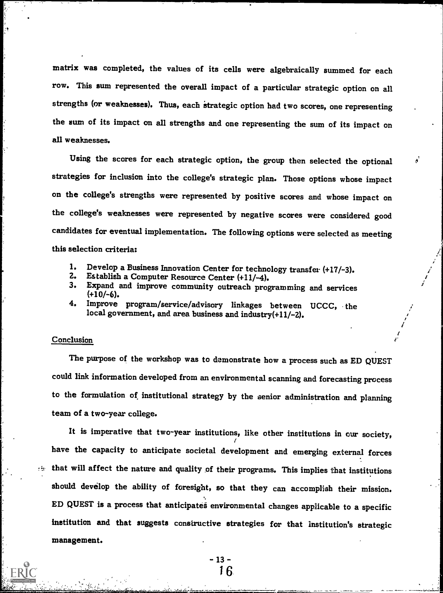matrix was completed, the values of its cells were algebraically summed for each row. This sum represented the overall impact of a particular strategic option on all strengths (or weaknesses). Thus, each strategic option had two scores, one representing the sum of its impact on all strengths and one representing the sum of its impact on all weaknesses.

Using the scores for each strategic option, the group then selected the optional strategies for inclusion into the college's strategic plan. Those options whose impact on the college's strengths were represented by positive scores and whose impact on the college's weaknesses were represented by negative scores were considered good candidates for eventual implementation. The following options were selected as meeting this selection criteria:

- 1. Develop a Business Innovation Center for technology transfer (+17/-3).<br>2. Establish a Computer Resource Center (+11/-4).<br>3. Expand and improve community outreach programming and comicse
- 
- 3. Expand and improve community outreach programming and services (+10/-6).
- 4. Improve program/service/advisory linkages between UCCC, the local government, and area business and industry $(+11/-2)$ .

#### Conclusion

The purpose of the workshop was to demonstrate how a process such as ED QUEST could link information developed from an environmental scanning and forecasting process to the formulation of institutional strategy by the senior administration and planning team of a two-year college.

It is imperative that two-year institutions, like other institutions in our society, have the capacity to anticipate societal development and emerging external forces  $t$  that will affect the nature and quality of their programs. This implies that institutions should develop the ability of foresight, so that they can accomplish their mission. ED QUEST is a process that anticipates environmental changes applicable to a specific institution and that suggests constructive strategies for that Institution's strategic management.

> $-13-$ 16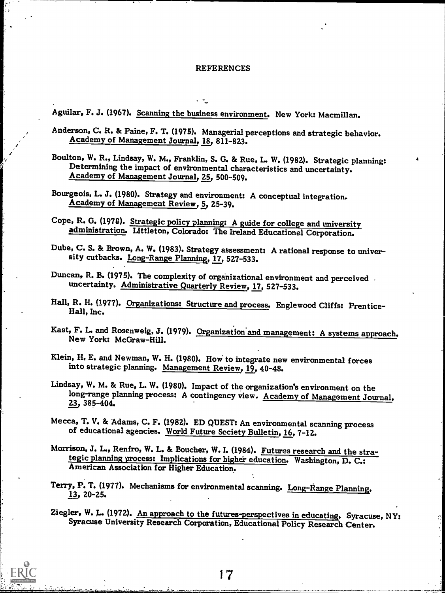#### REFERENCES

Aguilar, F. J. (1967). Scanning the business environment. New York: Macmillan.

 $\mathcal{L}^{\text{max}}$ 

£4'  $\mathbf{z}^{\prime}$  $\mathcal{T} = \{T_{\rm eff} \}_{\rm eff}$  Anderson, C. R. & Paine, F. T. (1975). Managerial perceptions and strategic behavior. Academy of Management Journal, 18, 811-823.

Boulton, W. R., Lindsay, W. M., Franklin, S. G. & Rue, L. W. (1982). Strategic planning: Determining the impact of environmental characteristics and uncertainty. Academy of Management Journal, 25, 500-509.

Bourgeois, L. J. (1980). Strategy and environment: A conceptual integration. Academy of Management Review, 5, 25-39.

Cope, R. G. (1970). Strategic policy planning: A guide for college and university administration. Littleton, Colorado: The Ireland Educational Corporation.

Dube, C. S. & Brown, A. W. (1983). Strategy assessment: A rational response to univer-sity cutbacks. Long-Range Planning, 17, 527-533.

Duncan, R. B. (1975). The complexity of organizational environment and perceived . uncertainty. Administrative Quarterly Review, 17, 527-533.

Hall, R. H. (1977). Organizations: Structure and process. Englewood Cliffs: Prentice- Hall, Inc.

Kast, F. L. and Rosenweig, J. (1979). Organization and management: A systems approach. New York: McGraw-Hill.

Klein, H. E. and Newman, W. H. (1980). How' to integrate new environmental forces into strategic planning. Management Review, 19, 40-48.

Lindsay, W. M. & Rue, L. W. (1980). Impact of the organization's environment on the long-range planning process: A contingency view. Academy of Management Journal, 23, 385-404.

Mecca, T. V. & Adams, C. F. (1982). ED QUEST: An environmental scanning process of educational agencies. World Future Society Bulletin, 16, 7-12.

Morrison, J. L., Renfro, W. L. & Boucher, W. I. (1984). Futures research and the strategic planning process: Implications for higher education. Washington, D. C.: American Association for Higher Education.

Terry, P. T. (1977). Mechanisms for environmental scanning. Long-Range Planning.<br>13, 20-25.

Ziegler, W. L. (1972). An approach to the futures-perspectives in educating. Syracuse, NY:<br>Syracuse University Research Corporation, Educational Policy Research Center.